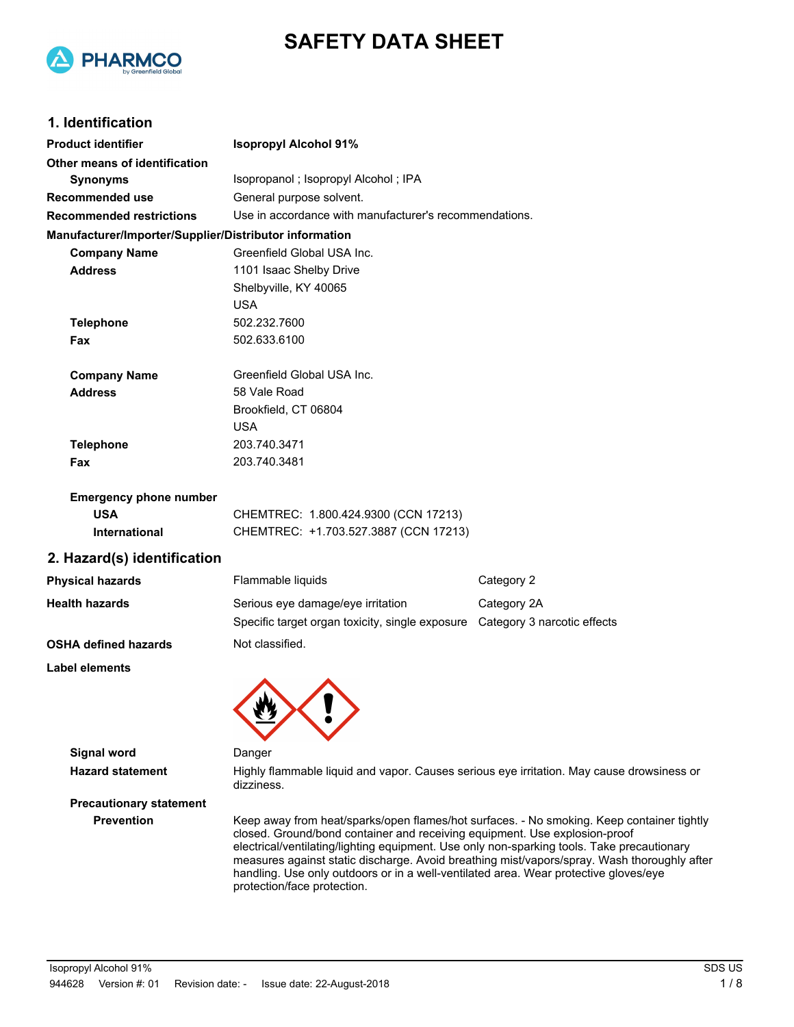



### **1. Identification**

| <b>Isopropyl Alcohol 91%</b>                                                                            |                                                        |  |
|---------------------------------------------------------------------------------------------------------|--------------------------------------------------------|--|
|                                                                                                         |                                                        |  |
| Isopropanol ; Isopropyl Alcohol ; IPA                                                                   |                                                        |  |
| General purpose solvent.                                                                                |                                                        |  |
| Use in accordance with manufacturer's recommendations.                                                  |                                                        |  |
|                                                                                                         |                                                        |  |
| Greenfield Global USA Inc.                                                                              |                                                        |  |
| 1101 Isaac Shelby Drive                                                                                 |                                                        |  |
| Shelbyville, KY 40065                                                                                   |                                                        |  |
| <b>USA</b>                                                                                              |                                                        |  |
| 502.232.7600                                                                                            |                                                        |  |
| 502.633.6100                                                                                            |                                                        |  |
| Greenfield Global USA Inc.                                                                              |                                                        |  |
| 58 Vale Road                                                                                            |                                                        |  |
| Brookfield, CT 06804                                                                                    |                                                        |  |
| <b>USA</b>                                                                                              |                                                        |  |
| 203.740.3471                                                                                            |                                                        |  |
| 203.740.3481                                                                                            |                                                        |  |
|                                                                                                         |                                                        |  |
| CHEMTREC: 1.800.424.9300 (CCN 17213)                                                                    |                                                        |  |
| CHEMTREC: +1.703.527.3887 (CCN 17213)                                                                   |                                                        |  |
|                                                                                                         |                                                        |  |
| Flammable liquids                                                                                       | Category 2                                             |  |
| Serious eye damage/eye irritation                                                                       | Category 2A                                            |  |
| Specific target organ toxicity, single exposure  Category 3 narcotic effects                            |                                                        |  |
| Not classified.                                                                                         |                                                        |  |
|                                                                                                         |                                                        |  |
|                                                                                                         |                                                        |  |
| Danger                                                                                                  |                                                        |  |
| Highly flammable liquid and vapor. Causes serious eye irritation. May cause drowsiness or<br>dizziness. |                                                        |  |
|                                                                                                         |                                                        |  |
| Keep away from heat/sparks/open flames/hot surfaces. - No smoking. Keep container tight                 |                                                        |  |
|                                                                                                         | Manufacturer/Importer/Supplier/Distributor information |  |

**Pep container tightly** closed. Ground/bond container and receiving equipment. Use explosion-proof electrical/ventilating/lighting equipment. Use only non-sparking tools. Take precautionary measures against static discharge. Avoid breathing mist/vapors/spray. Wash thoroughly after handling. Use only outdoors or in a well-ventilated area. Wear protective gloves/eye protection/face protection.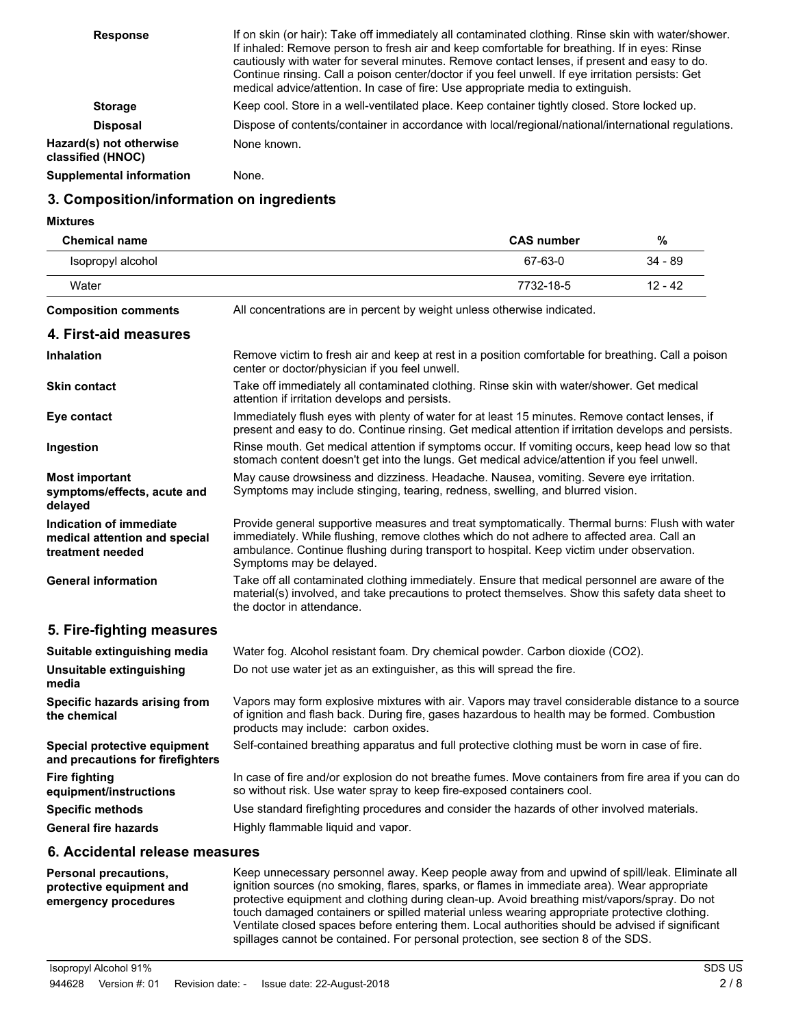| <b>Response</b>                              | If on skin (or hair): Take off immediately all contaminated clothing. Rinse skin with water/shower.<br>If inhaled: Remove person to fresh air and keep comfortable for breathing. If in eyes: Rinse<br>cautiously with water for several minutes. Remove contact lenses, if present and easy to do.<br>Continue rinsing. Call a poison center/doctor if you feel unwell. If eye irritation persists: Get<br>medical advice/attention. In case of fire: Use appropriate media to extinguish. |
|----------------------------------------------|---------------------------------------------------------------------------------------------------------------------------------------------------------------------------------------------------------------------------------------------------------------------------------------------------------------------------------------------------------------------------------------------------------------------------------------------------------------------------------------------|
| <b>Storage</b>                               | Keep cool. Store in a well-ventilated place. Keep container tightly closed. Store locked up.                                                                                                                                                                                                                                                                                                                                                                                                |
| <b>Disposal</b>                              | Dispose of contents/container in accordance with local/regional/national/international regulations.                                                                                                                                                                                                                                                                                                                                                                                         |
| Hazard(s) not otherwise<br>classified (HNOC) | None known.                                                                                                                                                                                                                                                                                                                                                                                                                                                                                 |
| <b>Supplemental information</b>              | None.                                                                                                                                                                                                                                                                                                                                                                                                                                                                                       |

### **3. Composition/information on ingredients**

**Mixtures**

| <b>Chemical name</b>                                                         |                                                                                                                                                                                                                                                                                                                      | <b>CAS number</b> | %         |
|------------------------------------------------------------------------------|----------------------------------------------------------------------------------------------------------------------------------------------------------------------------------------------------------------------------------------------------------------------------------------------------------------------|-------------------|-----------|
| Isopropyl alcohol                                                            |                                                                                                                                                                                                                                                                                                                      | 67-63-0           | $34 - 89$ |
| Water                                                                        |                                                                                                                                                                                                                                                                                                                      | 7732-18-5         | $12 - 42$ |
| <b>Composition comments</b>                                                  | All concentrations are in percent by weight unless otherwise indicated.                                                                                                                                                                                                                                              |                   |           |
| 4. First-aid measures                                                        |                                                                                                                                                                                                                                                                                                                      |                   |           |
| Inhalation                                                                   | Remove victim to fresh air and keep at rest in a position comfortable for breathing. Call a poison<br>center or doctor/physician if you feel unwell.                                                                                                                                                                 |                   |           |
| <b>Skin contact</b>                                                          | Take off immediately all contaminated clothing. Rinse skin with water/shower. Get medical<br>attention if irritation develops and persists.                                                                                                                                                                          |                   |           |
| Eye contact                                                                  | Immediately flush eyes with plenty of water for at least 15 minutes. Remove contact lenses, if<br>present and easy to do. Continue rinsing. Get medical attention if irritation develops and persists.                                                                                                               |                   |           |
| Ingestion                                                                    | Rinse mouth. Get medical attention if symptoms occur. If vomiting occurs, keep head low so that<br>stomach content doesn't get into the lungs. Get medical advice/attention if you feel unwell.                                                                                                                      |                   |           |
| <b>Most important</b><br>symptoms/effects, acute and<br>delayed              | May cause drowsiness and dizziness. Headache. Nausea, vomiting. Severe eye irritation.<br>Symptoms may include stinging, tearing, redness, swelling, and blurred vision.                                                                                                                                             |                   |           |
| Indication of immediate<br>medical attention and special<br>treatment needed | Provide general supportive measures and treat symptomatically. Thermal burns: Flush with water<br>immediately. While flushing, remove clothes which do not adhere to affected area. Call an<br>ambulance. Continue flushing during transport to hospital. Keep victim under observation.<br>Symptoms may be delayed. |                   |           |
| <b>General information</b>                                                   | Take off all contaminated clothing immediately. Ensure that medical personnel are aware of the<br>material(s) involved, and take precautions to protect themselves. Show this safety data sheet to<br>the doctor in attendance.                                                                                      |                   |           |
| 5. Fire-fighting measures                                                    |                                                                                                                                                                                                                                                                                                                      |                   |           |
| Suitable extinguishing media                                                 | Water fog. Alcohol resistant foam. Dry chemical powder. Carbon dioxide (CO2).                                                                                                                                                                                                                                        |                   |           |
| Unsuitable extinguishing<br>media                                            | Do not use water jet as an extinguisher, as this will spread the fire.                                                                                                                                                                                                                                               |                   |           |
| Specific hazards arising from<br>the chemical                                | Vapors may form explosive mixtures with air. Vapors may travel considerable distance to a source<br>of ignition and flash back. During fire, gases hazardous to health may be formed. Combustion<br>products may include: carbon oxides.                                                                             |                   |           |
| Special protective equipment<br>and precautions for firefighters             | Self-contained breathing apparatus and full protective clothing must be worn in case of fire.                                                                                                                                                                                                                        |                   |           |
| <b>Fire fighting</b><br>equipment/instructions                               | In case of fire and/or explosion do not breathe fumes. Move containers from fire area if you can do<br>so without risk. Use water spray to keep fire-exposed containers cool.                                                                                                                                        |                   |           |
| <b>Specific methods</b><br><b>General fire hazards</b>                       | Use standard firefighting procedures and consider the hazards of other involved materials.<br>Highly flammable liquid and vapor.                                                                                                                                                                                     |                   |           |
|                                                                              |                                                                                                                                                                                                                                                                                                                      |                   |           |

### **6. Accidental release measures**

| <b>Personal precautions,</b><br>protective equipment and<br>emergency procedures | Keep unnecessary personnel away. Keep people away from and upwind of spill/leak. Eliminate all<br>ignition sources (no smoking, flares, sparks, or flames in immediate area). Wear appropriate<br>protective equipment and clothing during clean-up. Avoid breathing mist/vapors/spray. Do not<br>touch damaged containers or spilled material unless wearing appropriate protective clothing.<br>Ventilate closed spaces before entering them. Local authorities should be advised if significant<br>spillages cannot be contained. For personal protection, see section 8 of the SDS. |
|----------------------------------------------------------------------------------|-----------------------------------------------------------------------------------------------------------------------------------------------------------------------------------------------------------------------------------------------------------------------------------------------------------------------------------------------------------------------------------------------------------------------------------------------------------------------------------------------------------------------------------------------------------------------------------------|
|                                                                                  |                                                                                                                                                                                                                                                                                                                                                                                                                                                                                                                                                                                         |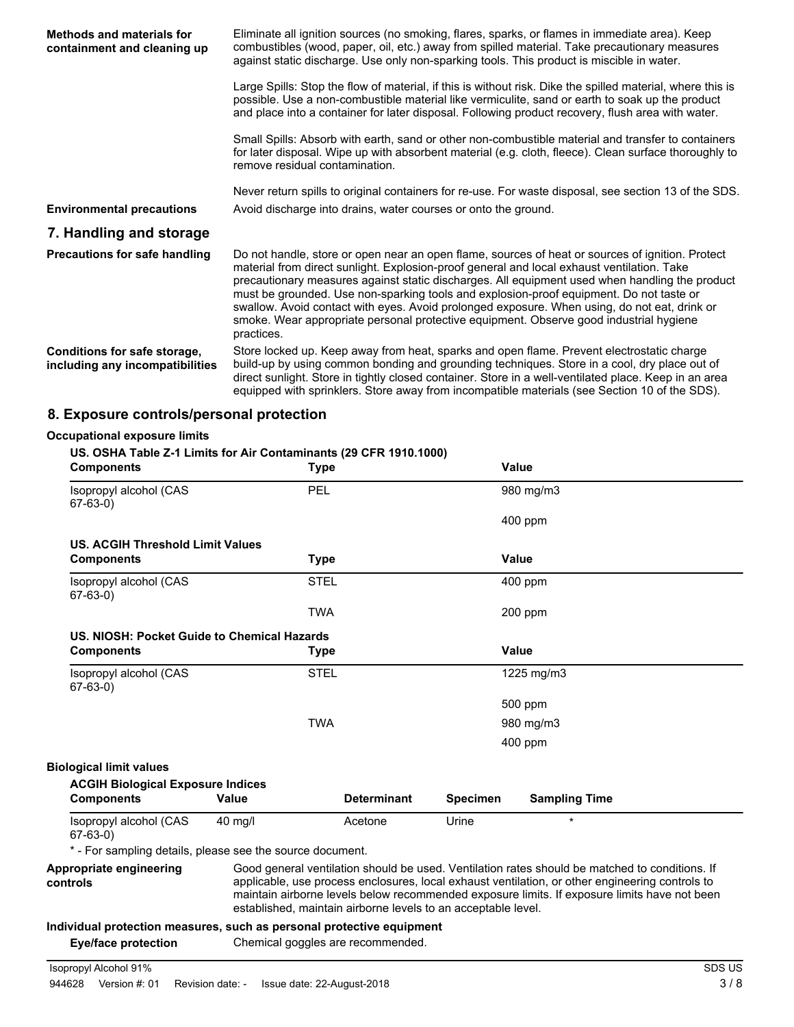| <b>Methods and materials for</b><br>containment and cleaning up | Eliminate all ignition sources (no smoking, flares, sparks, or flames in immediate area). Keep<br>combustibles (wood, paper, oil, etc.) away from spilled material. Take precautionary measures<br>against static discharge. Use only non-sparking tools. This product is miscible in water.                                                                                                                                                                                                                                                                                                        |  |  |
|-----------------------------------------------------------------|-----------------------------------------------------------------------------------------------------------------------------------------------------------------------------------------------------------------------------------------------------------------------------------------------------------------------------------------------------------------------------------------------------------------------------------------------------------------------------------------------------------------------------------------------------------------------------------------------------|--|--|
|                                                                 | Large Spills: Stop the flow of material, if this is without risk. Dike the spilled material, where this is<br>possible. Use a non-combustible material like vermiculite, sand or earth to soak up the product<br>and place into a container for later disposal. Following product recovery, flush area with water.                                                                                                                                                                                                                                                                                  |  |  |
|                                                                 | Small Spills: Absorb with earth, sand or other non-combustible material and transfer to containers<br>for later disposal. Wipe up with absorbent material (e.g. cloth, fleece). Clean surface thoroughly to<br>remove residual contamination.                                                                                                                                                                                                                                                                                                                                                       |  |  |
| <b>Environmental precautions</b>                                | Never return spills to original containers for re-use. For waste disposal, see section 13 of the SDS.<br>Avoid discharge into drains, water courses or onto the ground.                                                                                                                                                                                                                                                                                                                                                                                                                             |  |  |
| 7. Handling and storage                                         |                                                                                                                                                                                                                                                                                                                                                                                                                                                                                                                                                                                                     |  |  |
| Precautions for safe handling                                   | Do not handle, store or open near an open flame, sources of heat or sources of ignition. Protect<br>material from direct sunlight. Explosion-proof general and local exhaust ventilation. Take<br>precautionary measures against static discharges. All equipment used when handling the product<br>must be grounded. Use non-sparking tools and explosion-proof equipment. Do not taste or<br>swallow. Avoid contact with eyes. Avoid prolonged exposure. When using, do not eat, drink or<br>smoke. Wear appropriate personal protective equipment. Observe good industrial hygiene<br>practices. |  |  |
| Conditions for safe storage,<br>including any incompatibilities | Store locked up. Keep away from heat, sparks and open flame. Prevent electrostatic charge<br>build-up by using common bonding and grounding techniques. Store in a cool, dry place out of<br>direct sunlight. Store in tightly closed container. Store in a well-ventilated place. Keep in an area<br>equipped with sprinklers. Store away from incompatible materials (see Section 10 of the SDS).                                                                                                                                                                                                 |  |  |

### **8. Exposure controls/personal protection**

#### **Occupational exposure limits**

#### **US. OSHA Table Z-1 Limits for Air Contaminants (29 CFR 1910.1000)**

| <b>Components</b>                                         |         | <b>Type</b>        |                 | <b>Value</b>                                                                                                                                                                                      |  |
|-----------------------------------------------------------|---------|--------------------|-----------------|---------------------------------------------------------------------------------------------------------------------------------------------------------------------------------------------------|--|
| Isopropyl alcohol (CAS<br>$67-63-0$                       | PEL     |                    |                 | 980 mg/m3                                                                                                                                                                                         |  |
|                                                           |         |                    |                 | $400$ ppm                                                                                                                                                                                         |  |
| <b>US. ACGIH Threshold Limit Values</b>                   |         |                    |                 |                                                                                                                                                                                                   |  |
| <b>Components</b>                                         |         | <b>Type</b>        |                 | Value                                                                                                                                                                                             |  |
| Isopropyl alcohol (CAS<br>$67-63-0)$                      |         | <b>STEL</b>        |                 | 400 ppm                                                                                                                                                                                           |  |
|                                                           |         | <b>TWA</b>         |                 | $200$ ppm                                                                                                                                                                                         |  |
| US. NIOSH: Pocket Guide to Chemical Hazards               |         |                    |                 |                                                                                                                                                                                                   |  |
| <b>Components</b>                                         |         | <b>Type</b>        |                 | <b>Value</b>                                                                                                                                                                                      |  |
| Isopropyl alcohol (CAS<br>$67-63-0)$                      |         | <b>STEL</b>        |                 | 1225 mg/m3                                                                                                                                                                                        |  |
|                                                           |         |                    |                 | 500 ppm                                                                                                                                                                                           |  |
|                                                           |         | <b>TWA</b>         |                 | 980 mg/m3                                                                                                                                                                                         |  |
|                                                           |         |                    |                 | $400$ ppm                                                                                                                                                                                         |  |
| <b>Biological limit values</b>                            |         |                    |                 |                                                                                                                                                                                                   |  |
| <b>ACGIH Biological Exposure Indices</b>                  |         |                    |                 |                                                                                                                                                                                                   |  |
| <b>Components</b>                                         | Value   | <b>Determinant</b> | <b>Specimen</b> | <b>Sampling Time</b>                                                                                                                                                                              |  |
| Isopropyl alcohol (CAS<br>$67-63-0)$                      | 40 mg/l | Acetone            | Urine           | $\star$                                                                                                                                                                                           |  |
| * - For sampling details, please see the source document. |         |                    |                 |                                                                                                                                                                                                   |  |
| Appropriate engineering<br>controls                       |         |                    |                 | Good general ventilation should be used. Ventilation rates should be matched to conditions. If<br>applicable, use process enclosures, local exhaust ventilation, or other engineering controls to |  |

established, maintain airborne levels to an acceptable level.

maintain airborne levels below recommended exposure limits. If exposure limits have not been

## **Individual protection measures, such as personal protective equipment**

**Eye/face protection** Chemical goggles are recommended.

Isopropyl Alcohol 91% SDS US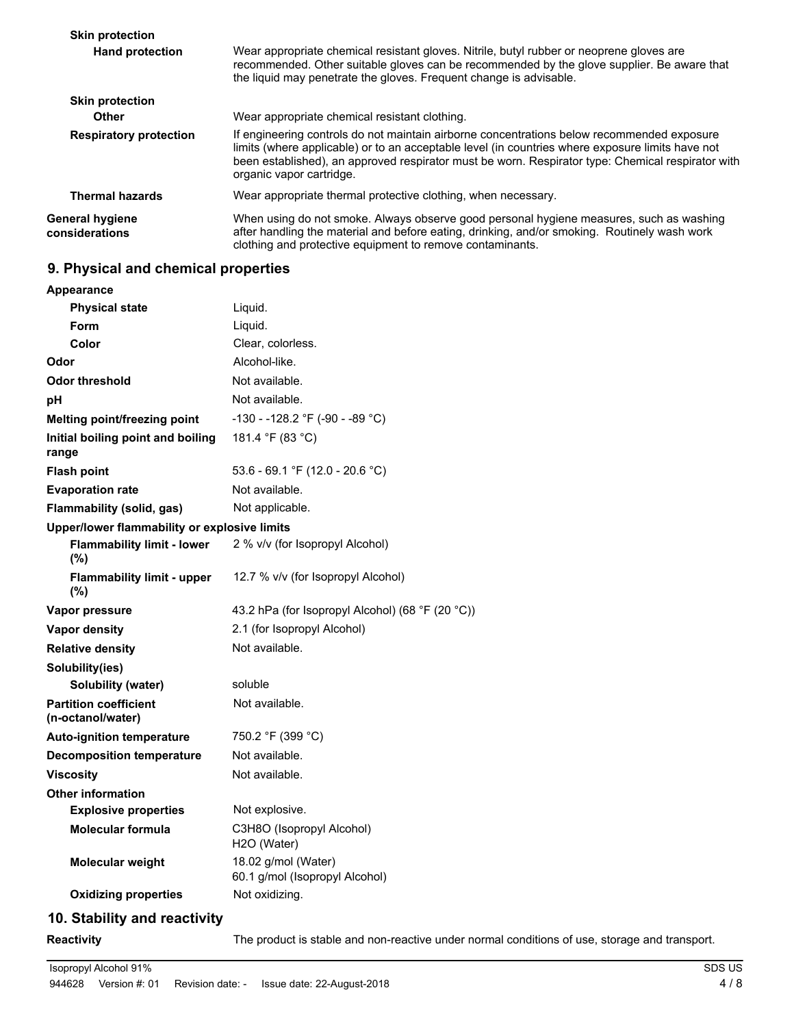| <b>Skin protection</b>                   |                                                                                                                                                                                                                                                                                                                                 |
|------------------------------------------|---------------------------------------------------------------------------------------------------------------------------------------------------------------------------------------------------------------------------------------------------------------------------------------------------------------------------------|
| <b>Hand protection</b>                   | Wear appropriate chemical resistant gloves. Nitrile, butyl rubber or neoprene gloves are<br>recommended. Other suitable gloves can be recommended by the glove supplier. Be aware that<br>the liquid may penetrate the gloves. Frequent change is advisable.                                                                    |
| <b>Skin protection</b>                   |                                                                                                                                                                                                                                                                                                                                 |
| <b>Other</b>                             | Wear appropriate chemical resistant clothing.                                                                                                                                                                                                                                                                                   |
| <b>Respiratory protection</b>            | If engineering controls do not maintain airborne concentrations below recommended exposure<br>limits (where applicable) or to an acceptable level (in countries where exposure limits have not<br>been established), an approved respirator must be worn. Respirator type: Chemical respirator with<br>organic vapor cartridge. |
| <b>Thermal hazards</b>                   | Wear appropriate thermal protective clothing, when necessary.                                                                                                                                                                                                                                                                   |
| <b>General hygiene</b><br>considerations | When using do not smoke. Always observe good personal hygiene measures, such as washing<br>after handling the material and before eating, drinking, and/or smoking. Routinely wash work<br>clothing and protective equipment to remove contaminants.                                                                            |

# **9. Physical and chemical properties**

| <b>Appearance</b>                                 |                                                                                               |  |  |
|---------------------------------------------------|-----------------------------------------------------------------------------------------------|--|--|
| <b>Physical state</b>                             | Liquid.                                                                                       |  |  |
| Form                                              | Liquid.                                                                                       |  |  |
| Color                                             | Clear, colorless.                                                                             |  |  |
| Odor                                              | Alcohol-like.                                                                                 |  |  |
| <b>Odor threshold</b>                             | Not available.                                                                                |  |  |
| рH                                                | Not available.                                                                                |  |  |
| Melting point/freezing point                      | -130 - -128.2 °F (-90 - -89 °C)                                                               |  |  |
| Initial boiling point and boiling<br>range        | 181.4 °F (83 °C)                                                                              |  |  |
| <b>Flash point</b>                                | 53.6 - 69.1 °F (12.0 - 20.6 °C)                                                               |  |  |
| <b>Evaporation rate</b>                           | Not available.                                                                                |  |  |
| Flammability (solid, gas)                         | Not applicable.                                                                               |  |  |
| Upper/lower flammability or explosive limits      |                                                                                               |  |  |
| <b>Flammability limit - lower</b><br>(%)          | 2 % v/v (for Isopropyl Alcohol)                                                               |  |  |
| <b>Flammability limit - upper</b><br>(%)          | 12.7 % v/v (for Isopropyl Alcohol)                                                            |  |  |
| Vapor pressure                                    | 43.2 hPa (for Isopropyl Alcohol) (68 °F (20 °C))                                              |  |  |
| Vapor density                                     | 2.1 (for Isopropyl Alcohol)                                                                   |  |  |
| <b>Relative density</b>                           | Not available.                                                                                |  |  |
| Solubility(ies)                                   |                                                                                               |  |  |
| <b>Solubility (water)</b>                         | soluble                                                                                       |  |  |
| <b>Partition coefficient</b><br>(n-octanol/water) | Not available.                                                                                |  |  |
| <b>Auto-ignition temperature</b>                  | 750.2 °F (399 °C)                                                                             |  |  |
| <b>Decomposition temperature</b>                  | Not available.                                                                                |  |  |
| <b>Viscosity</b>                                  | Not available.                                                                                |  |  |
| <b>Other information</b>                          |                                                                                               |  |  |
| <b>Explosive properties</b>                       | Not explosive.                                                                                |  |  |
| <b>Molecular formula</b>                          | C3H8O (Isopropyl Alcohol)<br>H2O (Water)                                                      |  |  |
| Molecular weight                                  | 18.02 g/mol (Water)<br>60.1 g/mol (Isopropyl Alcohol)                                         |  |  |
| <b>Oxidizing properties</b>                       | Not oxidizing.                                                                                |  |  |
| 10. Stability and reactivity                      |                                                                                               |  |  |
| <b>Reactivity</b>                                 | The product is stable and non-reactive under normal conditions of use, storage and transport. |  |  |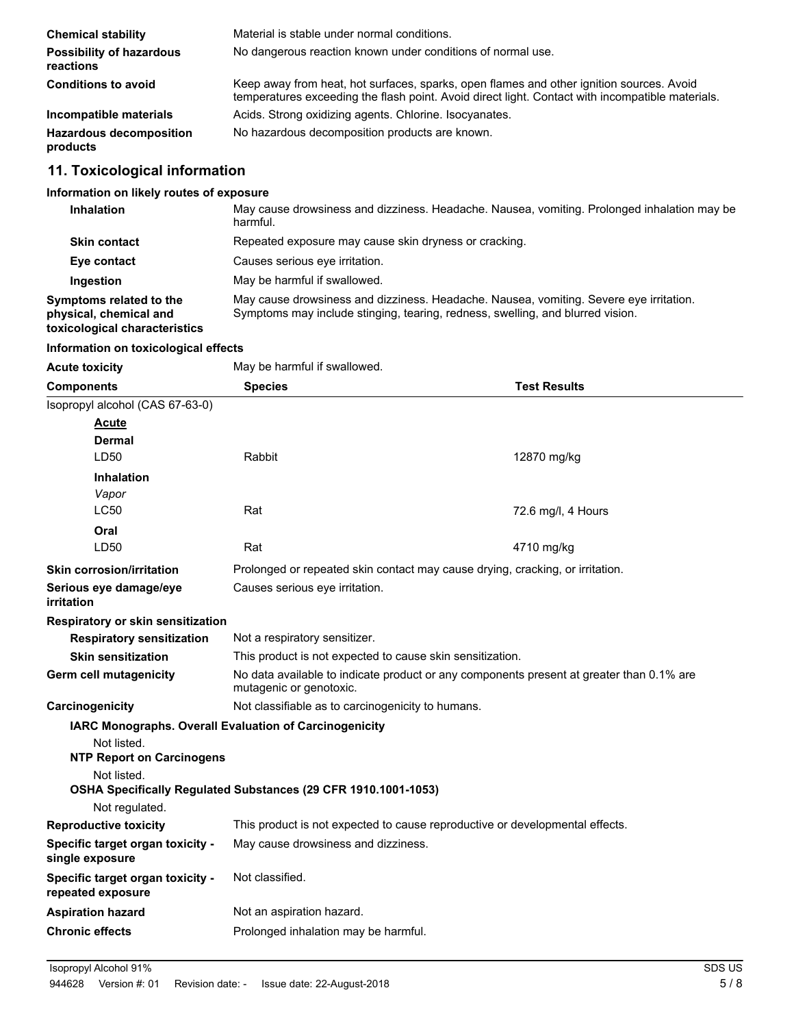| <b>Chemical stability</b>                    | Material is stable under normal conditions.                                                                                                                                                  |
|----------------------------------------------|----------------------------------------------------------------------------------------------------------------------------------------------------------------------------------------------|
| <b>Possibility of hazardous</b><br>reactions | No dangerous reaction known under conditions of normal use.                                                                                                                                  |
| <b>Conditions to avoid</b>                   | Keep away from heat, hot surfaces, sparks, open flames and other ignition sources. Avoid<br>temperatures exceeding the flash point. Avoid direct light. Contact with incompatible materials. |
| Incompatible materials                       | Acids. Strong oxidizing agents. Chlorine. Isocyanates.                                                                                                                                       |
| <b>Hazardous decomposition</b><br>products   | No hazardous decomposition products are known.                                                                                                                                               |

### **11. Toxicological information**

### **Information on likely routes of exposure**

| <b>Inhalation</b>                                                                  | May cause drowsiness and dizziness. Headache. Nausea, vomiting. Prolonged inhalation may be<br>harmful.                                                                  |
|------------------------------------------------------------------------------------|--------------------------------------------------------------------------------------------------------------------------------------------------------------------------|
| <b>Skin contact</b>                                                                | Repeated exposure may cause skin dryness or cracking.                                                                                                                    |
| Eye contact                                                                        | Causes serious eye irritation.                                                                                                                                           |
| Ingestion                                                                          | May be harmful if swallowed.                                                                                                                                             |
| Symptoms related to the<br>physical, chemical and<br>toxicological characteristics | May cause drowsiness and dizziness. Headache. Nausea, vomiting. Severe eye irritation.<br>Symptoms may include stinging, tearing, redness, swelling, and blurred vision. |

### **Information on toxicological effects**

| <b>Acute toxicity</b>                                 | May be harmful if swallowed.                                                                                        |                     |  |
|-------------------------------------------------------|---------------------------------------------------------------------------------------------------------------------|---------------------|--|
| <b>Components</b>                                     | <b>Species</b>                                                                                                      | <b>Test Results</b> |  |
| Isopropyl alcohol (CAS 67-63-0)                       |                                                                                                                     |                     |  |
| <b>Acute</b>                                          |                                                                                                                     |                     |  |
| <b>Dermal</b>                                         |                                                                                                                     |                     |  |
| LD50                                                  | Rabbit                                                                                                              | 12870 mg/kg         |  |
| <b>Inhalation</b>                                     |                                                                                                                     |                     |  |
| Vapor                                                 |                                                                                                                     |                     |  |
| <b>LC50</b>                                           | Rat                                                                                                                 | 72.6 mg/l, 4 Hours  |  |
| Oral                                                  |                                                                                                                     |                     |  |
| LD50                                                  | Rat                                                                                                                 | 4710 mg/kg          |  |
| <b>Skin corrosion/irritation</b>                      | Prolonged or repeated skin contact may cause drying, cracking, or irritation.                                       |                     |  |
| Serious eye damage/eye<br>irritation                  | Causes serious eye irritation.                                                                                      |                     |  |
| Respiratory or skin sensitization                     |                                                                                                                     |                     |  |
| <b>Respiratory sensitization</b>                      | Not a respiratory sensitizer.                                                                                       |                     |  |
| <b>Skin sensitization</b>                             | This product is not expected to cause skin sensitization.                                                           |                     |  |
| Germ cell mutagenicity                                | No data available to indicate product or any components present at greater than 0.1% are<br>mutagenic or genotoxic. |                     |  |
| Carcinogenicity                                       | Not classifiable as to carcinogenicity to humans.                                                                   |                     |  |
|                                                       | <b>IARC Monographs. Overall Evaluation of Carcinogenicity</b>                                                       |                     |  |
| Not listed.                                           |                                                                                                                     |                     |  |
| <b>NTP Report on Carcinogens</b>                      |                                                                                                                     |                     |  |
| Not listed.                                           | OSHA Specifically Regulated Substances (29 CFR 1910.1001-1053)                                                      |                     |  |
| Not regulated.                                        |                                                                                                                     |                     |  |
| <b>Reproductive toxicity</b>                          | This product is not expected to cause reproductive or developmental effects.                                        |                     |  |
| Specific target organ toxicity -                      | May cause drowsiness and dizziness.                                                                                 |                     |  |
| single exposure                                       |                                                                                                                     |                     |  |
| Specific target organ toxicity -<br>repeated exposure | Not classified.                                                                                                     |                     |  |
| <b>Aspiration hazard</b>                              | Not an aspiration hazard.                                                                                           |                     |  |
| <b>Chronic effects</b>                                | Prolonged inhalation may be harmful.                                                                                |                     |  |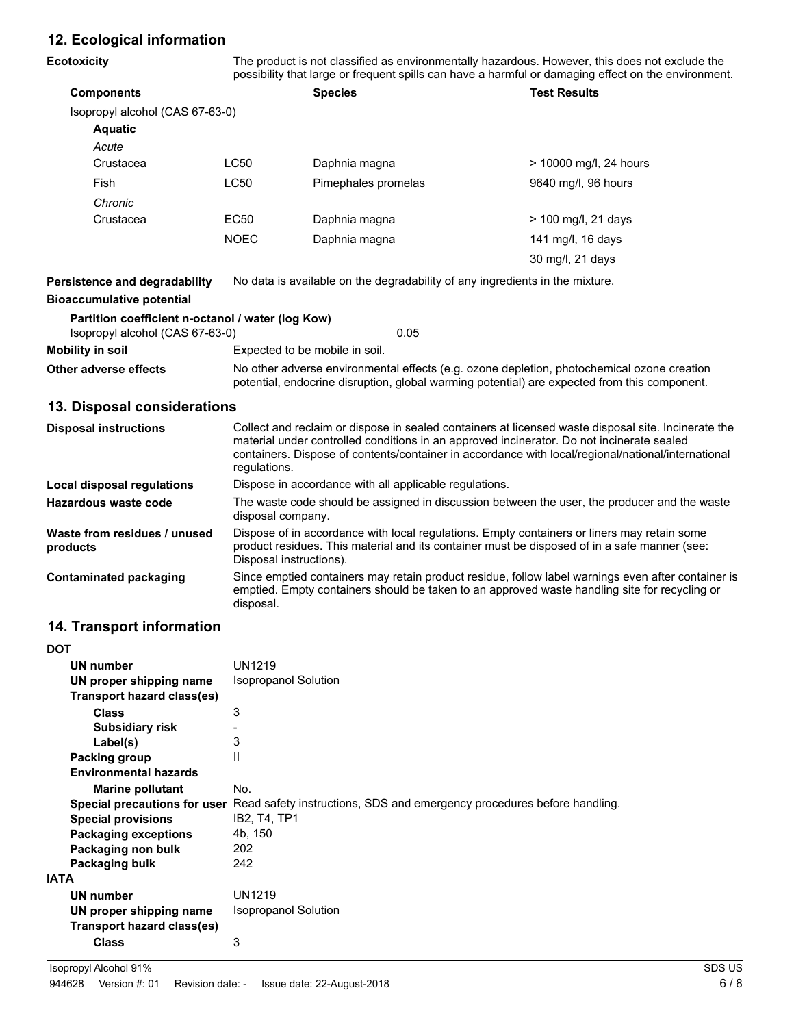# **12. Ecological information**

| <b>Ecotoxicity</b>                                                                   | The product is not classified as environmentally hazardous. However, this does not exclude the<br>possibility that large or frequent spills can have a harmful or damaging effect on the environment.                                                                                                                  |                                                                              |                        |
|--------------------------------------------------------------------------------------|------------------------------------------------------------------------------------------------------------------------------------------------------------------------------------------------------------------------------------------------------------------------------------------------------------------------|------------------------------------------------------------------------------|------------------------|
| <b>Components</b>                                                                    |                                                                                                                                                                                                                                                                                                                        | <b>Species</b>                                                               | <b>Test Results</b>    |
| Isopropyl alcohol (CAS 67-63-0)                                                      |                                                                                                                                                                                                                                                                                                                        |                                                                              |                        |
| <b>Aquatic</b>                                                                       |                                                                                                                                                                                                                                                                                                                        |                                                                              |                        |
| Acute                                                                                |                                                                                                                                                                                                                                                                                                                        |                                                                              |                        |
| Crustacea                                                                            | <b>LC50</b>                                                                                                                                                                                                                                                                                                            | Daphnia magna                                                                | > 10000 mg/l, 24 hours |
| <b>Fish</b>                                                                          | <b>LC50</b>                                                                                                                                                                                                                                                                                                            | Pimephales promelas                                                          | 9640 mg/l, 96 hours    |
| Chronic                                                                              |                                                                                                                                                                                                                                                                                                                        |                                                                              |                        |
| Crustacea                                                                            | EC50                                                                                                                                                                                                                                                                                                                   | Daphnia magna                                                                | > 100 mg/l, 21 days    |
|                                                                                      | <b>NOEC</b>                                                                                                                                                                                                                                                                                                            | Daphnia magna                                                                | 141 mg/l, 16 days      |
|                                                                                      |                                                                                                                                                                                                                                                                                                                        |                                                                              | 30 mg/l, 21 days       |
| <b>Persistence and degradability</b>                                                 |                                                                                                                                                                                                                                                                                                                        | No data is available on the degradability of any ingredients in the mixture. |                        |
| <b>Bioaccumulative potential</b>                                                     |                                                                                                                                                                                                                                                                                                                        |                                                                              |                        |
| Partition coefficient n-octanol / water (log Kow)<br>Isopropyl alcohol (CAS 67-63-0) |                                                                                                                                                                                                                                                                                                                        | 0.05                                                                         |                        |
| <b>Mobility in soil</b>                                                              | Expected to be mobile in soil.                                                                                                                                                                                                                                                                                         |                                                                              |                        |
| Other adverse effects                                                                | No other adverse environmental effects (e.g. ozone depletion, photochemical ozone creation<br>potential, endocrine disruption, global warming potential) are expected from this component.                                                                                                                             |                                                                              |                        |
| 13. Disposal considerations                                                          |                                                                                                                                                                                                                                                                                                                        |                                                                              |                        |
| <b>Disposal instructions</b>                                                         | Collect and reclaim or dispose in sealed containers at licensed waste disposal site. Incinerate the<br>material under controlled conditions in an approved incinerator. Do not incinerate sealed<br>containers. Dispose of contents/container in accordance with local/regional/national/international<br>regulations. |                                                                              |                        |
| <b>Local disposal regulations</b>                                                    | Dispose in accordance with all applicable regulations.                                                                                                                                                                                                                                                                 |                                                                              |                        |
| <b>Hazardous waste code</b>                                                          | The waste code should be assigned in discussion between the user, the producer and the waste<br>disposal company.                                                                                                                                                                                                      |                                                                              |                        |
| Waste from residues / unused<br>products                                             | Dispose of in accordance with local regulations. Empty containers or liners may retain some<br>product residues. This material and its container must be disposed of in a safe manner (see:<br>Disposal instructions).                                                                                                 |                                                                              |                        |
| <b>Contaminated packaging</b>                                                        | Since emptied containers may retain product residue, follow label warnings even after container is<br>emptied. Empty containers should be taken to an approved waste handling site for recycling or<br>disposal.                                                                                                       |                                                                              |                        |

# **14. Transport information**

| <b>DOT</b>                   |                                                                                                      |  |  |
|------------------------------|------------------------------------------------------------------------------------------------------|--|--|
| UN number                    | <b>UN1219</b>                                                                                        |  |  |
| UN proper shipping name      | <b>Isopropanol Solution</b>                                                                          |  |  |
| Transport hazard class(es)   |                                                                                                      |  |  |
| <b>Class</b>                 | 3                                                                                                    |  |  |
| <b>Subsidiary risk</b>       |                                                                                                      |  |  |
| Label(s)                     | 3                                                                                                    |  |  |
| Packing group                | $\mathsf{II}$                                                                                        |  |  |
| <b>Environmental hazards</b> |                                                                                                      |  |  |
| <b>Marine pollutant</b>      | No.                                                                                                  |  |  |
|                              | Special precautions for user Read safety instructions, SDS and emergency procedures before handling. |  |  |
| <b>Special provisions</b>    | IB2, T4, TP1                                                                                         |  |  |
| <b>Packaging exceptions</b>  | 4b, 150                                                                                              |  |  |
| Packaging non bulk           | 202                                                                                                  |  |  |
| Packaging bulk               | 242                                                                                                  |  |  |
| <b>IATA</b>                  |                                                                                                      |  |  |
| <b>UN number</b>             | <b>UN1219</b>                                                                                        |  |  |
| UN proper shipping name      | <b>Isopropanol Solution</b>                                                                          |  |  |
| Transport hazard class(es)   |                                                                                                      |  |  |
| <b>Class</b>                 | 3                                                                                                    |  |  |
|                              |                                                                                                      |  |  |

**Isopropyl Alcohol 91%** SDS US 944628 Version #: 01 Revision date: - Issue date: 22-August-2018 6 / 8 6 / 8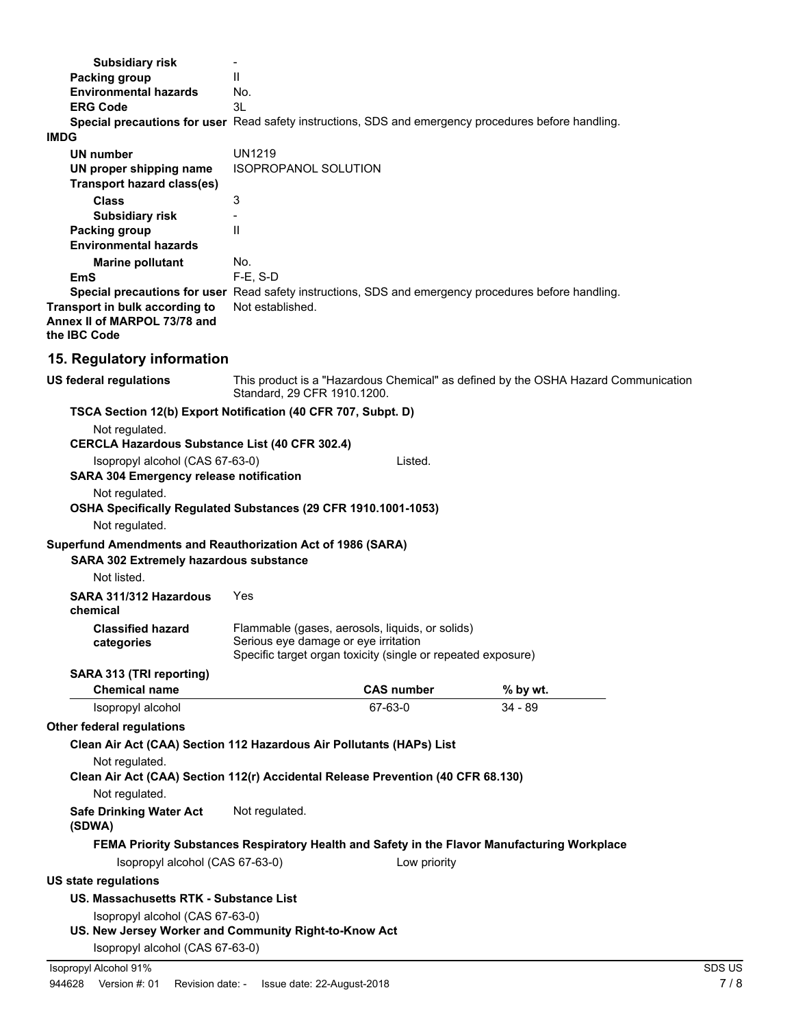| <b>Subsidiary risk</b>                                                                                                      | $\overline{\phantom{a}}$             |                                                                                                                 |                                                                                              |  |
|-----------------------------------------------------------------------------------------------------------------------------|--------------------------------------|-----------------------------------------------------------------------------------------------------------------|----------------------------------------------------------------------------------------------|--|
| <b>Packing group</b>                                                                                                        | $\mathbf{I}$                         |                                                                                                                 |                                                                                              |  |
| <b>Environmental hazards</b>                                                                                                | No.                                  |                                                                                                                 |                                                                                              |  |
| <b>ERG Code</b>                                                                                                             | 3L                                   |                                                                                                                 |                                                                                              |  |
| Special precautions for user Read safety instructions, SDS and emergency procedures before handling.                        |                                      |                                                                                                                 |                                                                                              |  |
| <b>IMDG</b>                                                                                                                 |                                      |                                                                                                                 |                                                                                              |  |
| UN number                                                                                                                   | UN1219                               |                                                                                                                 |                                                                                              |  |
| UN proper shipping name                                                                                                     | ISOPROPANOL SOLUTION                 |                                                                                                                 |                                                                                              |  |
| <b>Transport hazard class(es)</b>                                                                                           |                                      |                                                                                                                 |                                                                                              |  |
| <b>Class</b>                                                                                                                | 3                                    |                                                                                                                 |                                                                                              |  |
| <b>Subsidiary risk</b><br><b>Packing group</b>                                                                              | $\mathbf{I}$                         |                                                                                                                 |                                                                                              |  |
| <b>Environmental hazards</b>                                                                                                |                                      |                                                                                                                 |                                                                                              |  |
| <b>Marine pollutant</b>                                                                                                     | No.                                  |                                                                                                                 |                                                                                              |  |
| EmS                                                                                                                         | $F-E$ , S-D                          |                                                                                                                 |                                                                                              |  |
| Special precautions for user Read safety instructions, SDS and emergency procedures before handling.                        |                                      |                                                                                                                 |                                                                                              |  |
| Transport in bulk according to<br>Annex II of MARPOL 73/78 and<br>the IBC Code                                              | Not established.                     |                                                                                                                 |                                                                                              |  |
| 15. Regulatory information                                                                                                  |                                      |                                                                                                                 |                                                                                              |  |
| <b>US federal regulations</b>                                                                                               | Standard, 29 CFR 1910.1200.          |                                                                                                                 | This product is a "Hazardous Chemical" as defined by the OSHA Hazard Communication           |  |
| TSCA Section 12(b) Export Notification (40 CFR 707, Subpt. D)                                                               |                                      |                                                                                                                 |                                                                                              |  |
| Not regulated.                                                                                                              |                                      |                                                                                                                 |                                                                                              |  |
| <b>CERCLA Hazardous Substance List (40 CFR 302.4)</b>                                                                       |                                      |                                                                                                                 |                                                                                              |  |
| Isopropyl alcohol (CAS 67-63-0)<br><b>SARA 304 Emergency release notification</b>                                           |                                      | Listed.                                                                                                         |                                                                                              |  |
| Not regulated.<br>OSHA Specifically Regulated Substances (29 CFR 1910.1001-1053)                                            |                                      |                                                                                                                 |                                                                                              |  |
|                                                                                                                             |                                      |                                                                                                                 |                                                                                              |  |
| Not regulated.                                                                                                              |                                      |                                                                                                                 |                                                                                              |  |
| Superfund Amendments and Reauthorization Act of 1986 (SARA)                                                                 |                                      |                                                                                                                 |                                                                                              |  |
| SARA 302 Extremely hazardous substance                                                                                      |                                      |                                                                                                                 |                                                                                              |  |
| Not listed.                                                                                                                 |                                      |                                                                                                                 |                                                                                              |  |
| SARA 311/312 Hazardous<br>chemical                                                                                          | <b>Yes</b>                           |                                                                                                                 |                                                                                              |  |
| <b>Classified hazard</b><br>categories                                                                                      | Serious eye damage or eye irritation | Flammable (gases, aerosols, liquids, or solids)<br>Specific target organ toxicity (single or repeated exposure) |                                                                                              |  |
| SARA 313 (TRI reporting)                                                                                                    |                                      |                                                                                                                 |                                                                                              |  |
| <b>Chemical name</b>                                                                                                        |                                      | <b>CAS number</b>                                                                                               | % by wt.                                                                                     |  |
| Isopropyl alcohol                                                                                                           |                                      | 67-63-0                                                                                                         | $34 - 89$                                                                                    |  |
| Other federal regulations                                                                                                   |                                      |                                                                                                                 |                                                                                              |  |
|                                                                                                                             |                                      |                                                                                                                 |                                                                                              |  |
| Clean Air Act (CAA) Section 112 Hazardous Air Pollutants (HAPs) List                                                        |                                      |                                                                                                                 |                                                                                              |  |
| Not regulated.<br>Clean Air Act (CAA) Section 112(r) Accidental Release Prevention (40 CFR 68.130)                          |                                      |                                                                                                                 |                                                                                              |  |
| Not regulated.                                                                                                              |                                      |                                                                                                                 |                                                                                              |  |
| <b>Safe Drinking Water Act</b><br>(SDWA)                                                                                    | Not regulated.                       |                                                                                                                 |                                                                                              |  |
|                                                                                                                             |                                      |                                                                                                                 | FEMA Priority Substances Respiratory Health and Safety in the Flavor Manufacturing Workplace |  |
| Isopropyl alcohol (CAS 67-63-0)                                                                                             |                                      | Low priority                                                                                                    |                                                                                              |  |
| <b>US state regulations</b>                                                                                                 |                                      |                                                                                                                 |                                                                                              |  |
| US. Massachusetts RTK - Substance List                                                                                      |                                      |                                                                                                                 |                                                                                              |  |
|                                                                                                                             |                                      |                                                                                                                 |                                                                                              |  |
| Isopropyl alcohol (CAS 67-63-0)<br>US. New Jersey Worker and Community Right-to-Know Act<br>Isopropyl alcohol (CAS 67-63-0) |                                      |                                                                                                                 |                                                                                              |  |
|                                                                                                                             |                                      |                                                                                                                 |                                                                                              |  |